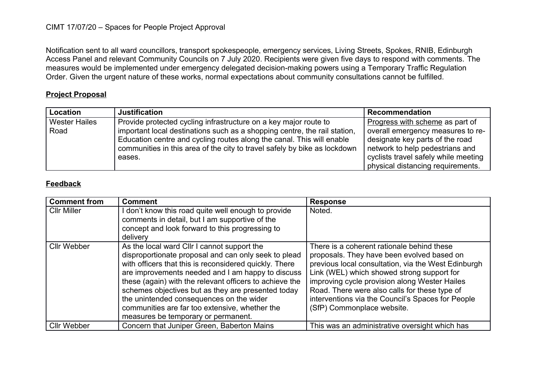## CIMT 17/07/20 – Spaces for People Project Approval

Notification sent to all ward councillors, transport spokespeople, emergency services, Living Streets, Spokes, RNIB, Edinburgh Access Panel and relevant Community Councils on 7 July 2020. Recipients were given five days to respond with comments. The measures would be implemented under emergency delegated decision-making powers using a Temporary Traffic Regulation Order. Given the urgent nature of these works, normal expectations about community consultations cannot be fulfilled.

## **Project Proposal**

| <b>Location</b>      | <b>Justification</b>                                                                                                                                                                                                                      | <b>Recommendation</b>                                                                                                                                                                |
|----------------------|-------------------------------------------------------------------------------------------------------------------------------------------------------------------------------------------------------------------------------------------|--------------------------------------------------------------------------------------------------------------------------------------------------------------------------------------|
| <b>Wester Hailes</b> | Provide protected cycling infrastructure on a key major route to                                                                                                                                                                          | Progress with scheme as part of                                                                                                                                                      |
| Road                 | important local destinations such as a shopping centre, the rail station,<br>Education centre and cycling routes along the canal. This will enable<br>communities in this area of the city to travel safely by bike as lockdown<br>eases. | overall emergency measures to re-<br>designate key parts of the road<br>network to help pedestrians and<br>cyclists travel safely while meeting<br>physical distancing requirements. |

## **Feedback**

| <b>Comment from</b> | <b>Comment</b>                                                                                                                                                                                                                                                                                                                                                                                                                                                           | <b>Response</b>                                                                                                                                                                                                                                                                                                                                                                    |
|---------------------|--------------------------------------------------------------------------------------------------------------------------------------------------------------------------------------------------------------------------------------------------------------------------------------------------------------------------------------------------------------------------------------------------------------------------------------------------------------------------|------------------------------------------------------------------------------------------------------------------------------------------------------------------------------------------------------------------------------------------------------------------------------------------------------------------------------------------------------------------------------------|
| <b>CIIr Miller</b>  | don't know this road quite well enough to provide<br>comments in detail, but I am supportive of the<br>concept and look forward to this progressing to<br>delivery                                                                                                                                                                                                                                                                                                       | Noted.                                                                                                                                                                                                                                                                                                                                                                             |
| <b>Cllr Webber</b>  | As the local ward CIIr I cannot support the<br>disproportionate proposal and can only seek to plead<br>with officers that this is reconsidered quickly. There<br>are improvements needed and I am happy to discuss<br>these (again) with the relevant officers to achieve the<br>schemes objectives but as they are presented today<br>the unintended consequences on the wider<br>communities are far too extensive, whether the<br>measures be temporary or permanent. | There is a coherent rationale behind these<br>proposals. They have been evolved based on<br>previous local consultation, via the West Edinburgh<br>Link (WEL) which showed strong support for<br>improving cycle provision along Wester Hailes<br>Road. There were also calls for these type of<br>interventions via the Council's Spaces for People<br>(SfP) Commonplace website. |
| <b>Cllr Webber</b>  | Concern that Juniper Green, Baberton Mains                                                                                                                                                                                                                                                                                                                                                                                                                               | This was an administrative oversight which has                                                                                                                                                                                                                                                                                                                                     |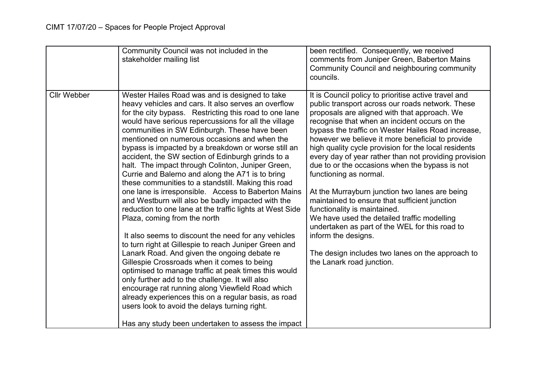|                    | Community Council was not included in the<br>stakeholder mailing list                                                                                                                                                                                                                                                                                                                                                                                                                                                                                                                                                                                                                                                                                                                                                                                                                                                                                                                                                                                                                                                                                                                                                                                                                                                                                    | been rectified. Consequently, we received<br>comments from Juniper Green, Baberton Mains<br>Community Council and neighbouring community<br>councils.                                                                                                                                                                                                                                                                                                                                                                                                                                                                                                                                                                                                                                                                                                        |
|--------------------|----------------------------------------------------------------------------------------------------------------------------------------------------------------------------------------------------------------------------------------------------------------------------------------------------------------------------------------------------------------------------------------------------------------------------------------------------------------------------------------------------------------------------------------------------------------------------------------------------------------------------------------------------------------------------------------------------------------------------------------------------------------------------------------------------------------------------------------------------------------------------------------------------------------------------------------------------------------------------------------------------------------------------------------------------------------------------------------------------------------------------------------------------------------------------------------------------------------------------------------------------------------------------------------------------------------------------------------------------------|--------------------------------------------------------------------------------------------------------------------------------------------------------------------------------------------------------------------------------------------------------------------------------------------------------------------------------------------------------------------------------------------------------------------------------------------------------------------------------------------------------------------------------------------------------------------------------------------------------------------------------------------------------------------------------------------------------------------------------------------------------------------------------------------------------------------------------------------------------------|
| <b>Cllr Webber</b> | Wester Hailes Road was and is designed to take<br>heavy vehicles and cars. It also serves an overflow<br>for the city bypass. Restricting this road to one lane<br>would have serious repercussions for all the village<br>communities in SW Edinburgh. These have been<br>mentioned on numerous occasions and when the<br>bypass is impacted by a breakdown or worse still an<br>accident, the SW section of Edinburgh grinds to a<br>halt. The impact through Colinton, Juniper Green,<br>Currie and Balerno and along the A71 is to bring<br>these communities to a standstill. Making this road<br>one lane is irresponsible. Access to Baberton Mains<br>and Westburn will also be badly impacted with the<br>reduction to one lane at the traffic lights at West Side<br>Plaza, coming from the north<br>It also seems to discount the need for any vehicles<br>to turn right at Gillespie to reach Juniper Green and<br>Lanark Road. And given the ongoing debate re<br>Gillespie Crossroads when it comes to being<br>optimised to manage traffic at peak times this would<br>only further add to the challenge. It will also<br>encourage rat running along Viewfield Road which<br>already experiences this on a regular basis, as road<br>users look to avoid the delays turning right.<br>Has any study been undertaken to assess the impact | It is Council policy to prioritise active travel and<br>public transport across our roads network. These<br>proposals are aligned with that approach. We<br>recognise that when an incident occurs on the<br>bypass the traffic on Wester Hailes Road increase,<br>however we believe it more beneficial to provide<br>high quality cycle provision for the local residents<br>every day of year rather than not providing provision<br>due to or the occasions when the bypass is not<br>functioning as normal.<br>At the Murrayburn junction two lanes are being<br>maintained to ensure that sufficient junction<br>functionality is maintained.<br>We have used the detailed traffic modelling<br>undertaken as part of the WEL for this road to<br>inform the designs.<br>The design includes two lanes on the approach to<br>the Lanark road junction. |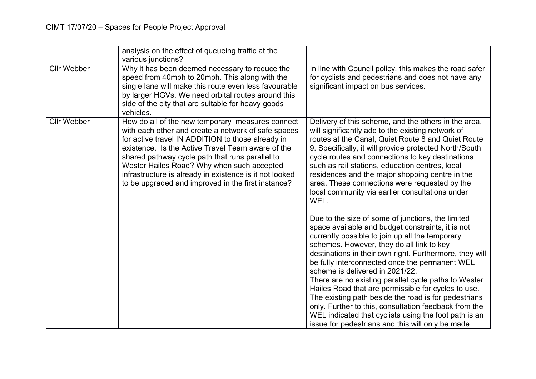|                    | analysis on the effect of queueing traffic at the<br>various junctions?                                                                                                                                                                                                                                                                                                                                                             |                                                                                                                                                                                                                                                                                                                                                                                                                                                                                                                                                                                                                                                                                                     |
|--------------------|-------------------------------------------------------------------------------------------------------------------------------------------------------------------------------------------------------------------------------------------------------------------------------------------------------------------------------------------------------------------------------------------------------------------------------------|-----------------------------------------------------------------------------------------------------------------------------------------------------------------------------------------------------------------------------------------------------------------------------------------------------------------------------------------------------------------------------------------------------------------------------------------------------------------------------------------------------------------------------------------------------------------------------------------------------------------------------------------------------------------------------------------------------|
| <b>Cllr Webber</b> | Why it has been deemed necessary to reduce the<br>speed from 40mph to 20mph. This along with the<br>single lane will make this route even less favourable<br>by larger HGVs. We need orbital routes around this<br>side of the city that are suitable for heavy goods<br>vehicles.                                                                                                                                                  | In line with Council policy, this makes the road safer<br>for cyclists and pedestrians and does not have any<br>significant impact on bus services.                                                                                                                                                                                                                                                                                                                                                                                                                                                                                                                                                 |
| <b>Cllr Webber</b> | How do all of the new temporary measures connect<br>with each other and create a network of safe spaces<br>for active travel IN ADDITION to those already in<br>existence. Is the Active Travel Team aware of the<br>shared pathway cycle path that runs parallel to<br>Wester Hailes Road? Why when such accepted<br>infrastructure is already in existence is it not looked<br>to be upgraded and improved in the first instance? | Delivery of this scheme, and the others in the area,<br>will significantly add to the existing network of<br>routes at the Canal, Quiet Route 8 and Quiet Route<br>9. Specifically, it will provide protected North/South<br>cycle routes and connections to key destinations<br>such as rail stations, education centres, local<br>residences and the major shopping centre in the<br>area. These connections were requested by the<br>local community via earlier consultations under<br>WEL.                                                                                                                                                                                                     |
|                    |                                                                                                                                                                                                                                                                                                                                                                                                                                     | Due to the size of some of junctions, the limited<br>space available and budget constraints, it is not<br>currently possible to join up all the temporary<br>schemes. However, they do all link to key<br>destinations in their own right. Furthermore, they will<br>be fully interconnected once the permanent WEL<br>scheme is delivered in 2021/22.<br>There are no existing parallel cycle paths to Wester<br>Hailes Road that are permissible for cycles to use.<br>The existing path beside the road is for pedestrians<br>only. Further to this, consultation feedback from the<br>WEL indicated that cyclists using the foot path is an<br>issue for pedestrians and this will only be made |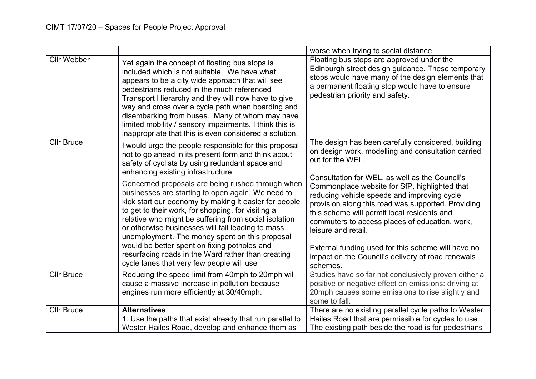|                    |                                                                                                                                                                                                                                                                                                                                                                                                                                                                                    | worse when trying to social distance.                                                                                                                                                                                                    |
|--------------------|------------------------------------------------------------------------------------------------------------------------------------------------------------------------------------------------------------------------------------------------------------------------------------------------------------------------------------------------------------------------------------------------------------------------------------------------------------------------------------|------------------------------------------------------------------------------------------------------------------------------------------------------------------------------------------------------------------------------------------|
| <b>Cllr Webber</b> | Yet again the concept of floating bus stops is<br>included which is not suitable. We have what<br>appears to be a city wide approach that will see<br>pedestrians reduced in the much referenced<br>Transport Hierarchy and they will now have to give<br>way and cross over a cycle path when boarding and<br>disembarking from buses. Many of whom may have<br>limited mobility / sensory impairments. I think this is<br>inappropriate that this is even considered a solution. | Floating bus stops are approved under the<br>Edinburgh street design guidance. These temporary<br>stops would have many of the design elements that<br>a permanent floating stop would have to ensure<br>pedestrian priority and safety. |
| <b>Cllr Bruce</b>  | I would urge the people responsible for this proposal<br>not to go ahead in its present form and think about<br>safety of cyclists by using redundant space and<br>enhancing existing infrastructure.<br>Concerned proposals are being rushed through when                                                                                                                                                                                                                         | The design has been carefully considered, building<br>on design work, modelling and consultation carried<br>out for the WEL.<br>Consultation for WEL, as well as the Council's<br>Commonplace website for SfP, highlighted that          |
|                    | businesses are starting to open again. We need to<br>kick start our economy by making it easier for people<br>to get to their work, for shopping, for visiting a<br>relative who might be suffering from social isolation<br>or otherwise businesses will fail leading to mass<br>unemployment. The money spent on this proposal                                                                                                                                                   | reducing vehicle speeds and improving cycle<br>provision along this road was supported. Providing<br>this scheme will permit local residents and<br>commuters to access places of education, work,<br>leisure and retail.                |
|                    | would be better spent on fixing potholes and<br>resurfacing roads in the Ward rather than creating<br>cycle lanes that very few people will use                                                                                                                                                                                                                                                                                                                                    | External funding used for this scheme will have no<br>impact on the Council's delivery of road renewals<br>schemes.                                                                                                                      |
| <b>Cllr Bruce</b>  | Reducing the speed limit from 40mph to 20mph will<br>cause a massive increase in pollution because<br>engines run more efficiently at 30/40mph.                                                                                                                                                                                                                                                                                                                                    | Studies have so far not conclusively proven either a<br>positive or negative effect on emissions: driving at<br>20mph causes some emissions to rise slightly and<br>some to fall.                                                        |
| <b>Cllr Bruce</b>  | <b>Alternatives</b><br>1. Use the paths that exist already that run parallel to<br>Wester Hailes Road, develop and enhance them as                                                                                                                                                                                                                                                                                                                                                 | There are no existing parallel cycle paths to Wester<br>Hailes Road that are permissible for cycles to use.<br>The existing path beside the road is for pedestrians                                                                      |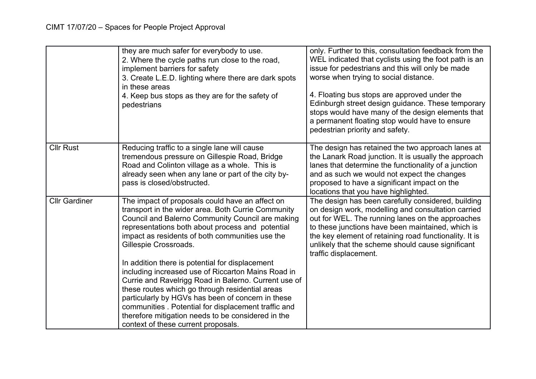|                      | they are much safer for everybody to use.<br>2. Where the cycle paths run close to the road,<br>implement barriers for safety<br>3. Create L.E.D. lighting where there are dark spots<br>in these areas<br>4. Keep bus stops as they are for the safety of<br>pedestrians                                                                                                                                                                                                                                                                                                                                                                                                                                               | only. Further to this, consultation feedback from the<br>WEL indicated that cyclists using the foot path is an<br>issue for pedestrians and this will only be made<br>worse when trying to social distance.<br>4. Floating bus stops are approved under the<br>Edinburgh street design guidance. These temporary<br>stops would have many of the design elements that<br>a permanent floating stop would have to ensure<br>pedestrian priority and safety. |
|----------------------|-------------------------------------------------------------------------------------------------------------------------------------------------------------------------------------------------------------------------------------------------------------------------------------------------------------------------------------------------------------------------------------------------------------------------------------------------------------------------------------------------------------------------------------------------------------------------------------------------------------------------------------------------------------------------------------------------------------------------|------------------------------------------------------------------------------------------------------------------------------------------------------------------------------------------------------------------------------------------------------------------------------------------------------------------------------------------------------------------------------------------------------------------------------------------------------------|
| <b>Cllr Rust</b>     | Reducing traffic to a single lane will cause<br>tremendous pressure on Gillespie Road, Bridge<br>Road and Colinton village as a whole. This is<br>already seen when any lane or part of the city by-<br>pass is closed/obstructed.                                                                                                                                                                                                                                                                                                                                                                                                                                                                                      | The design has retained the two approach lanes at<br>the Lanark Road junction. It is usually the approach<br>lanes that determine the functionality of a junction<br>and as such we would not expect the changes<br>proposed to have a significant impact on the<br>locations that you have highlighted.                                                                                                                                                   |
| <b>Cllr Gardiner</b> | The impact of proposals could have an affect on<br>transport in the wider area. Both Currie Community<br>Council and Balerno Community Council are making<br>representations both about process and potential<br>impact as residents of both communities use the<br>Gillespie Crossroads.<br>In addition there is potential for displacement<br>including increased use of Riccarton Mains Road in<br>Currie and Ravelrigg Road in Balerno. Current use of<br>these routes which go through residential areas<br>particularly by HGVs has been of concern in these<br>communities . Potential for displacement traffic and<br>therefore mitigation needs to be considered in the<br>context of these current proposals. | The design has been carefully considered, building<br>on design work, modelling and consultation carried<br>out for WEL. The running lanes on the approaches<br>to these junctions have been maintained, which is<br>the key element of retaining road functionality. It is<br>unlikely that the scheme should cause significant<br>traffic displacement.                                                                                                  |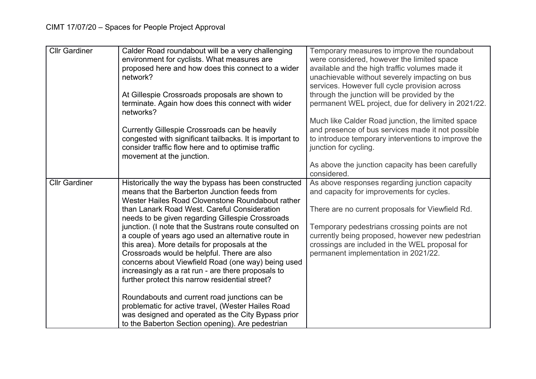| <b>Cllr Gardiner</b> | Calder Road roundabout will be a very challenging<br>environment for cyclists. What measures are<br>proposed here and how does this connect to a wider<br>network?                                                                                                                                                                                                                                                            | Temporary measures to improve the roundabout<br>were considered, however the limited space<br>available and the high traffic volumes made it<br>unachievable without severely impacting on bus                                                                                                         |
|----------------------|-------------------------------------------------------------------------------------------------------------------------------------------------------------------------------------------------------------------------------------------------------------------------------------------------------------------------------------------------------------------------------------------------------------------------------|--------------------------------------------------------------------------------------------------------------------------------------------------------------------------------------------------------------------------------------------------------------------------------------------------------|
|                      | At Gillespie Crossroads proposals are shown to<br>terminate. Again how does this connect with wider<br>networks?                                                                                                                                                                                                                                                                                                              | services. However full cycle provision across<br>through the junction will be provided by the<br>permanent WEL project, due for delivery in 2021/22.                                                                                                                                                   |
|                      | Currently Gillespie Crossroads can be heavily<br>congested with significant tailbacks. It is important to<br>consider traffic flow here and to optimise traffic<br>movement at the junction.                                                                                                                                                                                                                                  | Much like Calder Road junction, the limited space<br>and presence of bus services made it not possible<br>to introduce temporary interventions to improve the<br>junction for cycling.                                                                                                                 |
|                      |                                                                                                                                                                                                                                                                                                                                                                                                                               | As above the junction capacity has been carefully<br>considered.                                                                                                                                                                                                                                       |
| <b>Cllr Gardiner</b> | Historically the way the bypass has been constructed<br>means that the Barberton Junction feeds from<br>Wester Hailes Road Clovenstone Roundabout rather<br>than Lanark Road West. Careful Consideration<br>needs to be given regarding Gillespie Crossroads<br>junction. (I note that the Sustrans route consulted on<br>a couple of years ago used an alternative route in<br>this area). More details for proposals at the | As above responses regarding junction capacity<br>and capacity for improvements for cycles.<br>There are no current proposals for Viewfield Rd.<br>Temporary pedestrians crossing points are not<br>currently being proposed, however new pedestrian<br>crossings are included in the WEL proposal for |
|                      | Crossroads would be helpful. There are also<br>concerns about Viewfield Road (one way) being used<br>increasingly as a rat run - are there proposals to<br>further protect this narrow residential street?                                                                                                                                                                                                                    | permanent implementation in 2021/22.                                                                                                                                                                                                                                                                   |
|                      | Roundabouts and current road junctions can be<br>problematic for active travel, (Wester Hailes Road<br>was designed and operated as the City Bypass prior<br>to the Baberton Section opening). Are pedestrian                                                                                                                                                                                                                 |                                                                                                                                                                                                                                                                                                        |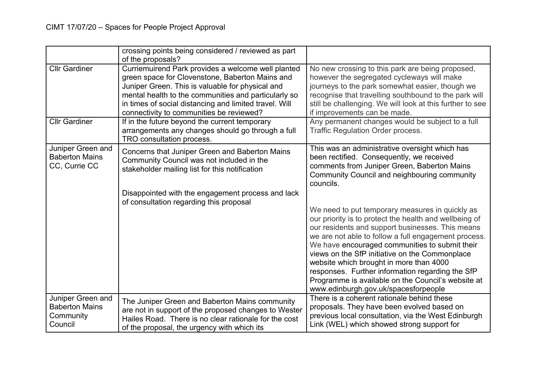|                                                                    | crossing points being considered / reviewed as part<br>of the proposals?                                                                                                                                                                                                                                                |                                                                                                                                                                                                                                                                                                                                                                                                                                                                                                                        |
|--------------------------------------------------------------------|-------------------------------------------------------------------------------------------------------------------------------------------------------------------------------------------------------------------------------------------------------------------------------------------------------------------------|------------------------------------------------------------------------------------------------------------------------------------------------------------------------------------------------------------------------------------------------------------------------------------------------------------------------------------------------------------------------------------------------------------------------------------------------------------------------------------------------------------------------|
| <b>Cllr Gardiner</b>                                               | Curriemuirend Park provides a welcome well planted<br>green space for Clovenstone, Baberton Mains and<br>Juniper Green. This is valuable for physical and<br>mental health to the communities and particularly so<br>in times of social distancing and limited travel. Will<br>connectivity to communities be reviewed? | No new crossing to this park are being proposed,<br>however the segregated cycleways will make<br>journeys to the park somewhat easier, though we<br>recognise that travelling southbound to the park will<br>still be challenging. We will look at this further to see<br>if improvements can be made.                                                                                                                                                                                                                |
| <b>Cllr Gardiner</b>                                               | If in the future beyond the current temporary<br>arrangements any changes should go through a full<br>TRO consultation process.                                                                                                                                                                                         | Any permanent changes would be subject to a full<br><b>Traffic Regulation Order process.</b>                                                                                                                                                                                                                                                                                                                                                                                                                           |
| Juniper Green and<br><b>Baberton Mains</b><br>CC, Currie CC        | Concerns that Juniper Green and Baberton Mains<br>Community Council was not included in the<br>stakeholder mailing list for this notification                                                                                                                                                                           | This was an administrative oversight which has<br>been rectified. Consequently, we received<br>comments from Juniper Green, Baberton Mains<br>Community Council and neighbouring community<br>councils.                                                                                                                                                                                                                                                                                                                |
|                                                                    | Disappointed with the engagement process and lack<br>of consultation regarding this proposal                                                                                                                                                                                                                            | We need to put temporary measures in quickly as<br>our priority is to protect the health and wellbeing of<br>our residents and support businesses. This means<br>we are not able to follow a full engagement process.<br>We have encouraged communities to submit their<br>views on the SfP initiative on the Commonplace<br>website which brought in more than 4000<br>responses. Further information regarding the SfP<br>Programme is available on the Council's website at<br>www.edinburgh.gov.uk/spacesforpeople |
| Juniper Green and<br><b>Baberton Mains</b><br>Community<br>Council | The Juniper Green and Baberton Mains community<br>are not in support of the proposed changes to Wester<br>Hailes Road. There is no clear rationale for the cost<br>of the proposal, the urgency with which its                                                                                                          | There is a coherent rationale behind these<br>proposals. They have been evolved based on<br>previous local consultation, via the West Edinburgh<br>Link (WEL) which showed strong support for                                                                                                                                                                                                                                                                                                                          |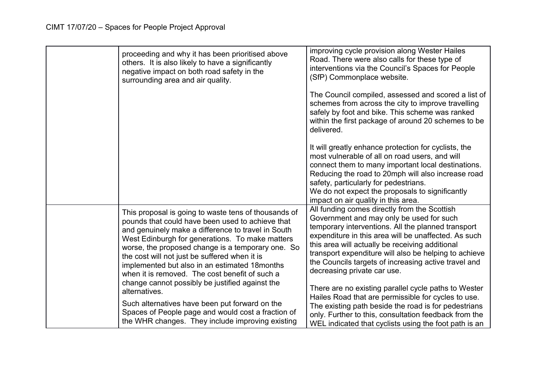| proceeding and why it has been prioritised above<br>others. It is also likely to have a significantly<br>negative impact on both road safety in the<br>surrounding area and air quality.                                                                                                                                                                                                                                                                                                        | improving cycle provision along Wester Hailes<br>Road. There were also calls for these type of<br>interventions via the Council's Spaces for People<br>(SfP) Commonplace website.                                                                                                                                                                                                                                                                                 |
|-------------------------------------------------------------------------------------------------------------------------------------------------------------------------------------------------------------------------------------------------------------------------------------------------------------------------------------------------------------------------------------------------------------------------------------------------------------------------------------------------|-------------------------------------------------------------------------------------------------------------------------------------------------------------------------------------------------------------------------------------------------------------------------------------------------------------------------------------------------------------------------------------------------------------------------------------------------------------------|
|                                                                                                                                                                                                                                                                                                                                                                                                                                                                                                 | The Council compiled, assessed and scored a list of<br>schemes from across the city to improve travelling<br>safely by foot and bike. This scheme was ranked<br>within the first package of around 20 schemes to be<br>delivered.                                                                                                                                                                                                                                 |
|                                                                                                                                                                                                                                                                                                                                                                                                                                                                                                 | It will greatly enhance protection for cyclists, the<br>most vulnerable of all on road users, and will<br>connect them to many important local destinations.<br>Reducing the road to 20mph will also increase road<br>safety, particularly for pedestrians.<br>We do not expect the proposals to significantly<br>impact on air quality in this area.                                                                                                             |
| This proposal is going to waste tens of thousands of<br>pounds that could have been used to achieve that<br>and genuinely make a difference to travel in South<br>West Edinburgh for generations. To make matters<br>worse, the proposed change is a temporary one. So<br>the cost will not just be suffered when it is<br>implemented but also in an estimated 18 months<br>when it is removed. The cost benefit of such a<br>change cannot possibly be justified against the<br>alternatives. | All funding comes directly from the Scottish<br>Government and may only be used for such<br>temporary interventions. All the planned transport<br>expenditure in this area will be unaffected. As such<br>this area will actually be receiving additional<br>transport expenditure will also be helping to achieve<br>the Councils targets of increasing active travel and<br>decreasing private car use.<br>There are no existing parallel cycle paths to Wester |
| Such alternatives have been put forward on the<br>Spaces of People page and would cost a fraction of<br>the WHR changes. They include improving existing                                                                                                                                                                                                                                                                                                                                        | Hailes Road that are permissible for cycles to use.<br>The existing path beside the road is for pedestrians<br>only. Further to this, consultation feedback from the<br>WEL indicated that cyclists using the foot path is an                                                                                                                                                                                                                                     |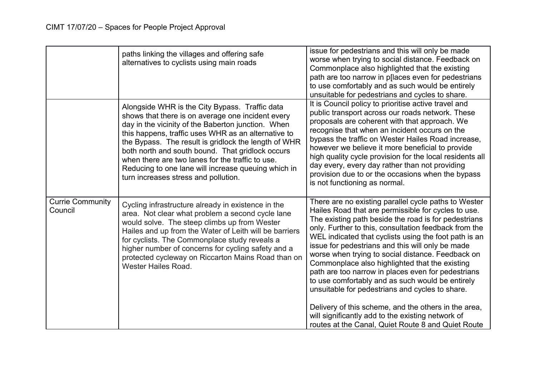|                                    | paths linking the villages and offering safe<br>alternatives to cyclists using main roads                                                                                                                                                                                                                                                                                                                                                                                       | issue for pedestrians and this will only be made<br>worse when trying to social distance. Feedback on<br>Commonplace also highlighted that the existing<br>path are too narrow in p[laces even for pedestrians<br>to use comfortably and as such would be entirely<br>unsuitable for pedestrians and cycles to share.                                                                                                                                                                                                                                                                                                                                                                                                                                                            |
|------------------------------------|---------------------------------------------------------------------------------------------------------------------------------------------------------------------------------------------------------------------------------------------------------------------------------------------------------------------------------------------------------------------------------------------------------------------------------------------------------------------------------|----------------------------------------------------------------------------------------------------------------------------------------------------------------------------------------------------------------------------------------------------------------------------------------------------------------------------------------------------------------------------------------------------------------------------------------------------------------------------------------------------------------------------------------------------------------------------------------------------------------------------------------------------------------------------------------------------------------------------------------------------------------------------------|
|                                    | Alongside WHR is the City Bypass. Traffic data<br>shows that there is on average one incident every<br>day in the vicinity of the Baberton junction. When<br>this happens, traffic uses WHR as an alternative to<br>the Bypass. The result is gridlock the length of WHR<br>both north and south bound. That gridlock occurs<br>when there are two lanes for the traffic to use.<br>Reducing to one lane will increase queuing which in<br>turn increases stress and pollution. | It is Council policy to prioritise active travel and<br>public transport across our roads network. These<br>proposals are coherent with that approach. We<br>recognise that when an incident occurs on the<br>bypass the traffic on Wester Hailes Road increase,<br>however we believe it more beneficial to provide<br>high quality cycle provision for the local residents all<br>day every, every day rather than not providing<br>provision due to or the occasions when the bypass<br>is not functioning as normal.                                                                                                                                                                                                                                                         |
| <b>Currie Community</b><br>Council | Cycling infrastructure already in existence in the<br>area. Not clear what problem a second cycle lane<br>would solve. The steep climbs up from Wester<br>Hailes and up from the Water of Leith will be barriers<br>for cyclists. The Commonplace study reveals a<br>higher number of concerns for cycling safety and a<br>protected cycleway on Riccarton Mains Road than on<br>Wester Hailes Road.                                                                            | There are no existing parallel cycle paths to Wester<br>Hailes Road that are permissible for cycles to use.<br>The existing path beside the road is for pedestrians<br>only. Further to this, consultation feedback from the<br>WEL indicated that cyclists using the foot path is an<br>issue for pedestrians and this will only be made<br>worse when trying to social distance. Feedback on<br>Commonplace also highlighted that the existing<br>path are too narrow in places even for pedestrians<br>to use comfortably and as such would be entirely<br>unsuitable for pedestrians and cycles to share.<br>Delivery of this scheme, and the others in the area,<br>will significantly add to the existing network of<br>routes at the Canal, Quiet Route 8 and Quiet Route |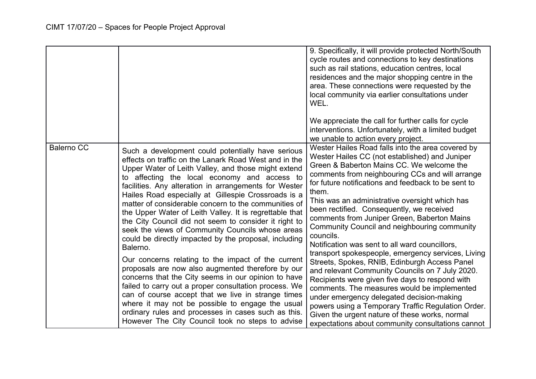|                   |                                                                                                                                                                                                                                                                                                                                                                                                                                                                                                                                                                                                                                                                                                                                                                                                                                                                                                                                                                                                                                                                                        | 9. Specifically, it will provide protected North/South<br>cycle routes and connections to key destinations<br>such as rail stations, education centres, local<br>residences and the major shopping centre in the<br>area. These connections were requested by the<br>local community via earlier consultations under<br>WEL.<br>We appreciate the call for further calls for cycle<br>interventions. Unfortunately, with a limited budget<br>we unable to action every project.                                                                                                                                                                                                                                                                                                                                                                                                                                                                                                                        |
|-------------------|----------------------------------------------------------------------------------------------------------------------------------------------------------------------------------------------------------------------------------------------------------------------------------------------------------------------------------------------------------------------------------------------------------------------------------------------------------------------------------------------------------------------------------------------------------------------------------------------------------------------------------------------------------------------------------------------------------------------------------------------------------------------------------------------------------------------------------------------------------------------------------------------------------------------------------------------------------------------------------------------------------------------------------------------------------------------------------------|--------------------------------------------------------------------------------------------------------------------------------------------------------------------------------------------------------------------------------------------------------------------------------------------------------------------------------------------------------------------------------------------------------------------------------------------------------------------------------------------------------------------------------------------------------------------------------------------------------------------------------------------------------------------------------------------------------------------------------------------------------------------------------------------------------------------------------------------------------------------------------------------------------------------------------------------------------------------------------------------------------|
| <b>Balerno CC</b> | Such a development could potentially have serious<br>effects on traffic on the Lanark Road West and in the<br>Upper Water of Leith Valley, and those might extend<br>to affecting the local economy and access to<br>facilities. Any alteration in arrangements for Wester<br>Hailes Road especially at Gillespie Crossroads is a<br>matter of considerable concern to the communities of<br>the Upper Water of Leith Valley. It is regrettable that<br>the City Council did not seem to consider it right to<br>seek the views of Community Councils whose areas<br>could be directly impacted by the proposal, including<br>Balerno.<br>Our concerns relating to the impact of the current<br>proposals are now also augmented therefore by our<br>concerns that the City seems in our opinion to have<br>failed to carry out a proper consultation process. We<br>can of course accept that we live in strange times<br>where it may not be possible to engage the usual<br>ordinary rules and processes in cases such as this.<br>However The City Council took no steps to advise | Wester Hailes Road falls into the area covered by<br>Wester Hailes CC (not established) and Juniper<br>Green & Baberton Mains CC. We welcome the<br>comments from neighbouring CCs and will arrange<br>for future notifications and feedback to be sent to<br>them.<br>This was an administrative oversight which has<br>been rectified. Consequently, we received<br>comments from Juniper Green, Baberton Mains<br>Community Council and neighbouring community<br>councils.<br>Notification was sent to all ward councillors,<br>transport spokespeople, emergency services, Living<br>Streets, Spokes, RNIB, Edinburgh Access Panel<br>and relevant Community Councils on 7 July 2020.<br>Recipients were given five days to respond with<br>comments. The measures would be implemented<br>under emergency delegated decision-making<br>powers using a Temporary Traffic Regulation Order.<br>Given the urgent nature of these works, normal<br>expectations about community consultations cannot |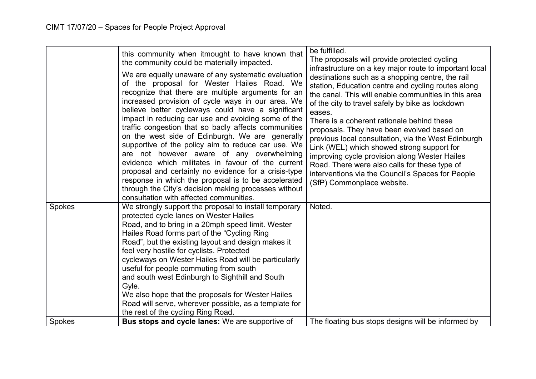|                         | this community when itmought to have known that<br>the community could be materially impacted.<br>We are equally unaware of any systematic evaluation<br>of the proposal for Wester Hailes Road. We<br>recognize that there are multiple arguments for an<br>increased provision of cycle ways in our area. We<br>believe better cycleways could have a significant<br>impact in reducing car use and avoiding some of the<br>traffic congestion that so badly affects communities<br>on the west side of Edinburgh. We are generally<br>supportive of the policy aim to reduce car use. We<br>are not however aware of any overwhelming<br>evidence which militates in favour of the current<br>proposal and certainly no evidence for a crisis-type<br>response in which the proposal is to be accelerated<br>through the City's decision making processes without<br>consultation with affected communities. | be fulfilled.<br>The proposals will provide protected cycling<br>infrastructure on a key major route to important local<br>destinations such as a shopping centre, the rail<br>station, Education centre and cycling routes along<br>the canal. This will enable communities in this area<br>of the city to travel safely by bike as lockdown<br>eases.<br>There is a coherent rationale behind these<br>proposals. They have been evolved based on<br>previous local consultation, via the West Edinburgh<br>Link (WEL) which showed strong support for<br>improving cycle provision along Wester Hailes<br>Road. There were also calls for these type of<br>interventions via the Council's Spaces for People<br>(SfP) Commonplace website. |
|-------------------------|-----------------------------------------------------------------------------------------------------------------------------------------------------------------------------------------------------------------------------------------------------------------------------------------------------------------------------------------------------------------------------------------------------------------------------------------------------------------------------------------------------------------------------------------------------------------------------------------------------------------------------------------------------------------------------------------------------------------------------------------------------------------------------------------------------------------------------------------------------------------------------------------------------------------|-----------------------------------------------------------------------------------------------------------------------------------------------------------------------------------------------------------------------------------------------------------------------------------------------------------------------------------------------------------------------------------------------------------------------------------------------------------------------------------------------------------------------------------------------------------------------------------------------------------------------------------------------------------------------------------------------------------------------------------------------|
| <b>Spokes</b><br>Spokes | We strongly support the proposal to install temporary<br>protected cycle lanes on Wester Hailes<br>Road, and to bring in a 20mph speed limit. Wester<br>Hailes Road forms part of the "Cycling Ring<br>Road", but the existing layout and design makes it<br>feel very hostile for cyclists. Protected<br>cycleways on Wester Hailes Road will be particularly<br>useful for people commuting from south<br>and south west Edinburgh to Sighthill and South<br>Gyle.<br>We also hope that the proposals for Wester Hailes<br>Road will serve, wherever possible, as a template for<br>the rest of the cycling Ring Road.<br><b>Bus stops and cycle lanes:</b> We are supportive of                                                                                                                                                                                                                              | Noted.<br>The floating bus stops designs will be informed by                                                                                                                                                                                                                                                                                                                                                                                                                                                                                                                                                                                                                                                                                  |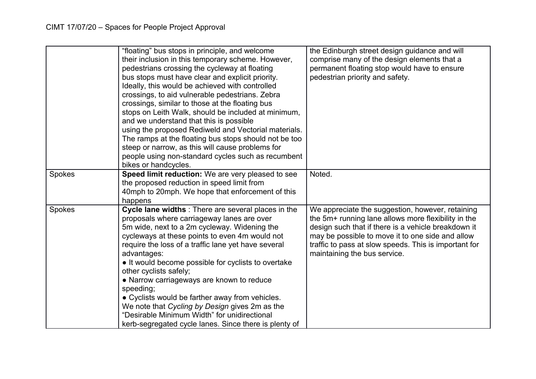|        | "floating" bus stops in principle, and welcome<br>their inclusion in this temporary scheme. However,<br>pedestrians crossing the cycleway at floating<br>bus stops must have clear and explicit priority.<br>Ideally, this would be achieved with controlled<br>crossings, to aid vulnerable pedestrians. Zebra<br>crossings, similar to those at the floating bus<br>stops on Leith Walk, should be included at minimum,<br>and we understand that this is possible<br>using the proposed Rediweld and Vectorial materials.<br>The ramps at the floating bus stops should not be too<br>steep or narrow, as this will cause problems for<br>people using non-standard cycles such as recumbent<br>bikes or handcycles. | the Edinburgh street design guidance and will<br>comprise many of the design elements that a<br>permanent floating stop would have to ensure<br>pedestrian priority and safety.                                                                                                                             |
|--------|-------------------------------------------------------------------------------------------------------------------------------------------------------------------------------------------------------------------------------------------------------------------------------------------------------------------------------------------------------------------------------------------------------------------------------------------------------------------------------------------------------------------------------------------------------------------------------------------------------------------------------------------------------------------------------------------------------------------------|-------------------------------------------------------------------------------------------------------------------------------------------------------------------------------------------------------------------------------------------------------------------------------------------------------------|
| Spokes | Speed limit reduction: We are very pleased to see<br>the proposed reduction in speed limit from<br>40mph to 20mph. We hope that enforcement of this<br>happens                                                                                                                                                                                                                                                                                                                                                                                                                                                                                                                                                          | Noted.                                                                                                                                                                                                                                                                                                      |
| Spokes | Cycle lane widths : There are several places in the<br>proposals where carriageway lanes are over<br>5m wide, next to a 2m cycleway. Widening the<br>cycleways at these points to even 4m would not<br>require the loss of a traffic lane yet have several<br>advantages:<br>• It would become possible for cyclists to overtake<br>other cyclists safely;<br>• Narrow carriageways are known to reduce<br>speeding;<br>• Cyclists would be farther away from vehicles.<br>We note that Cycling by Design gives 2m as the<br>"Desirable Minimum Width" for unidirectional<br>kerb-segregated cycle lanes. Since there is plenty of                                                                                      | We appreciate the suggestion, however, retaining<br>the 5m+ running lane allows more flexibility in the<br>design such that if there is a vehicle breakdown it<br>may be possible to move it to one side and allow<br>traffic to pass at slow speeds. This is important for<br>maintaining the bus service. |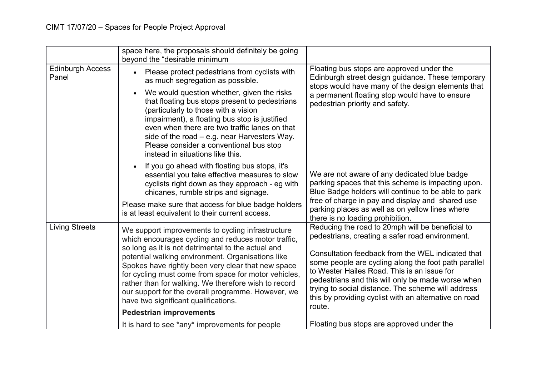|                                  | space here, the proposals should definitely be going<br>beyond the "desirable minimum                                                                                                                                                                                                                                                                                                                                                                                                   |                                                                                                                                                                                                                                                                                                                                                                                                                                               |
|----------------------------------|-----------------------------------------------------------------------------------------------------------------------------------------------------------------------------------------------------------------------------------------------------------------------------------------------------------------------------------------------------------------------------------------------------------------------------------------------------------------------------------------|-----------------------------------------------------------------------------------------------------------------------------------------------------------------------------------------------------------------------------------------------------------------------------------------------------------------------------------------------------------------------------------------------------------------------------------------------|
| <b>Edinburgh Access</b><br>Panel | Please protect pedestrians from cyclists with<br>as much segregation as possible.<br>We would question whether, given the risks<br>that floating bus stops present to pedestrians<br>(particularly to those with a vision<br>impairment), a floating bus stop is justified<br>even when there are two traffic lanes on that<br>side of the road $-$ e.g. near Harvesters Way.<br>Please consider a conventional bus stop<br>instead in situations like this.                            | Floating bus stops are approved under the<br>Edinburgh street design guidance. These temporary<br>stops would have many of the design elements that<br>a permanent floating stop would have to ensure<br>pedestrian priority and safety.                                                                                                                                                                                                      |
|                                  | If you go ahead with floating bus stops, it's<br>essential you take effective measures to slow<br>cyclists right down as they approach - eg with<br>chicanes, rumble strips and signage.<br>Please make sure that access for blue badge holders<br>is at least equivalent to their current access.                                                                                                                                                                                      | We are not aware of any dedicated blue badge<br>parking spaces that this scheme is impacting upon.<br>Blue Badge holders will continue to be able to park<br>free of charge in pay and display and shared use<br>parking places as well as on yellow lines where<br>there is no loading prohibition.                                                                                                                                          |
| <b>Living Streets</b>            | We support improvements to cycling infrastructure<br>which encourages cycling and reduces motor traffic,<br>so long as it is not detrimental to the actual and<br>potential walking environment. Organisations like<br>Spokes have rightly been very clear that new space<br>for cycling must come from space for motor vehicles,<br>rather than for walking. We therefore wish to record<br>our support for the overall programme. However, we<br>have two significant qualifications. | Reducing the road to 20mph will be beneficial to<br>pedestrians, creating a safer road environment.<br>Consultation feedback from the WEL indicated that<br>some people are cycling along the foot path parallel<br>to Wester Hailes Road. This is an issue for<br>pedestrians and this will only be made worse when<br>trying to social distance. The scheme will address<br>this by providing cyclist with an alternative on road<br>route. |
|                                  | <b>Pedestrian improvements</b>                                                                                                                                                                                                                                                                                                                                                                                                                                                          |                                                                                                                                                                                                                                                                                                                                                                                                                                               |
|                                  | It is hard to see *any* improvements for people                                                                                                                                                                                                                                                                                                                                                                                                                                         | Floating bus stops are approved under the                                                                                                                                                                                                                                                                                                                                                                                                     |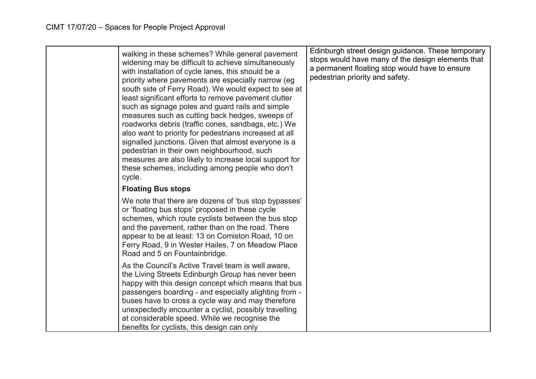| walking in these schemes? While general pavement<br>widening may be difficult to achieve simultaneously<br>with installation of cycle lanes, this should be a<br>priority where pavements are especially narrow (eg<br>south side of Ferry Road). We would expect to see at<br>least significant efforts to remove pavement clutter<br>such as signage poles and guard rails and simple<br>measures such as cutting back hedges, sweeps of<br>roadworks debris (traffic cones, sandbags, etc.) We<br>also want to priority for pedestrians increased at all<br>signalled junctions. Given that almost everyone is a<br>pedestrian in their own neighbourhood, such<br>measures are also likely to increase local support for<br>these schemes, including among people who don't<br>cycle. | Edinburgh street design guidance. These temporary<br>stops would have many of the design elements that<br>a permanent floating stop would have to ensure<br>pedestrian priority and safety. |
|-------------------------------------------------------------------------------------------------------------------------------------------------------------------------------------------------------------------------------------------------------------------------------------------------------------------------------------------------------------------------------------------------------------------------------------------------------------------------------------------------------------------------------------------------------------------------------------------------------------------------------------------------------------------------------------------------------------------------------------------------------------------------------------------|---------------------------------------------------------------------------------------------------------------------------------------------------------------------------------------------|
| <b>Floating Bus stops</b>                                                                                                                                                                                                                                                                                                                                                                                                                                                                                                                                                                                                                                                                                                                                                                 |                                                                                                                                                                                             |
| We note that there are dozens of 'bus stop bypasses'<br>or 'floating bus stops' proposed in these cycle<br>schemes, which route cyclists between the bus stop<br>and the pavement, rather than on the road. There<br>appear to be at least: 13 on Comiston Road, 10 on<br>Ferry Road, 9 in Wester Hailes, 7 on Meadow Place<br>Road and 5 on Fountainbridge.                                                                                                                                                                                                                                                                                                                                                                                                                              |                                                                                                                                                                                             |
| As the Council's Active Travel team is well aware,<br>the Living Streets Edinburgh Group has never been<br>happy with this design concept which means that bus<br>passengers boarding - and especially alighting from -<br>buses have to cross a cycle way and may therefore<br>unexpectedly encounter a cyclist, possibly travelling<br>at considerable speed. While we recognise the<br>benefits for cyclists, this design can only                                                                                                                                                                                                                                                                                                                                                     |                                                                                                                                                                                             |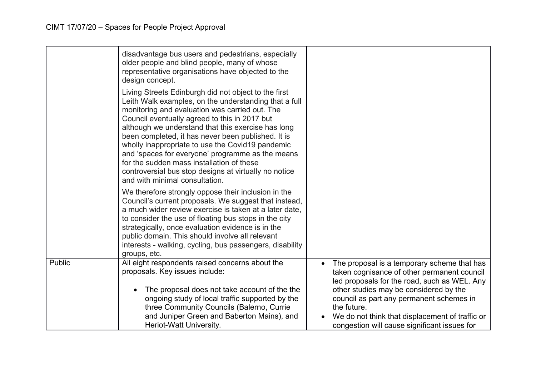|        | disadvantage bus users and pedestrians, especially<br>older people and blind people, many of whose<br>representative organisations have objected to the<br>design concept.                                                                                                                                                                                                                                                                                                                                                                                                   |                                                                                                                                                                                                                                                                                                                                                    |
|--------|------------------------------------------------------------------------------------------------------------------------------------------------------------------------------------------------------------------------------------------------------------------------------------------------------------------------------------------------------------------------------------------------------------------------------------------------------------------------------------------------------------------------------------------------------------------------------|----------------------------------------------------------------------------------------------------------------------------------------------------------------------------------------------------------------------------------------------------------------------------------------------------------------------------------------------------|
|        | Living Streets Edinburgh did not object to the first<br>Leith Walk examples, on the understanding that a full<br>monitoring and evaluation was carried out. The<br>Council eventually agreed to this in 2017 but<br>although we understand that this exercise has long<br>been completed, it has never been published. It is<br>wholly inappropriate to use the Covid19 pandemic<br>and 'spaces for everyone' programme as the means<br>for the sudden mass installation of these<br>controversial bus stop designs at virtually no notice<br>and with minimal consultation. |                                                                                                                                                                                                                                                                                                                                                    |
|        | We therefore strongly oppose their inclusion in the<br>Council's current proposals. We suggest that instead,<br>a much wider review exercise is taken at a later date,<br>to consider the use of floating bus stops in the city<br>strategically, once evaluation evidence is in the<br>public domain. This should involve all relevant<br>interests - walking, cycling, bus passengers, disability<br>groups, etc.                                                                                                                                                          |                                                                                                                                                                                                                                                                                                                                                    |
| Public | All eight respondents raised concerns about the<br>proposals. Key issues include:<br>The proposal does not take account of the the<br>ongoing study of local traffic supported by the<br>three Community Councils (Balerno, Currie<br>and Juniper Green and Baberton Mains), and<br>Heriot-Watt University.                                                                                                                                                                                                                                                                  | The proposal is a temporary scheme that has<br>taken cognisance of other permanent council<br>led proposals for the road, such as WEL. Any<br>other studies may be considered by the<br>council as part any permanent schemes in<br>the future.<br>We do not think that displacement of traffic or<br>congestion will cause significant issues for |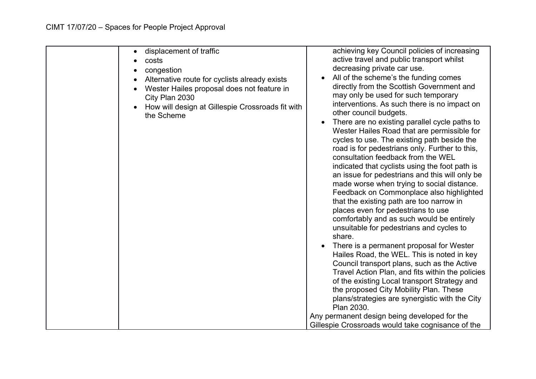| displacement of traffic<br>costs<br>congestion<br>Alternative route for cyclists already exists<br>Wester Hailes proposal does not feature in<br>City Plan 2030<br>How will design at Gillespie Crossroads fit with<br>the Scheme | achieving key Council policies of increasing<br>active travel and public transport whilst<br>decreasing private car use.<br>All of the scheme's the funding comes<br>directly from the Scottish Government and<br>may only be used for such temporary<br>interventions. As such there is no impact on<br>other council budgets.<br>There are no existing parallel cycle paths to<br>Wester Hailes Road that are permissible for<br>cycles to use. The existing path beside the<br>road is for pedestrians only. Further to this,<br>consultation feedback from the WEL<br>indicated that cyclists using the foot path is<br>an issue for pedestrians and this will only be<br>made worse when trying to social distance.<br>Feedback on Commonplace also highlighted<br>that the existing path are too narrow in<br>places even for pedestrians to use<br>comfortably and as such would be entirely<br>unsuitable for pedestrians and cycles to<br>share.<br>There is a permanent proposal for Wester<br>Hailes Road, the WEL. This is noted in key<br>Council transport plans, such as the Active<br>Travel Action Plan, and fits within the policies<br>of the existing Local transport Strategy and<br>the proposed City Mobility Plan. These<br>plans/strategies are synergistic with the City<br>Plan 2030.<br>Any permanent design being developed for the<br>Gillespie Crossroads would take cognisance of the |
|-----------------------------------------------------------------------------------------------------------------------------------------------------------------------------------------------------------------------------------|-----------------------------------------------------------------------------------------------------------------------------------------------------------------------------------------------------------------------------------------------------------------------------------------------------------------------------------------------------------------------------------------------------------------------------------------------------------------------------------------------------------------------------------------------------------------------------------------------------------------------------------------------------------------------------------------------------------------------------------------------------------------------------------------------------------------------------------------------------------------------------------------------------------------------------------------------------------------------------------------------------------------------------------------------------------------------------------------------------------------------------------------------------------------------------------------------------------------------------------------------------------------------------------------------------------------------------------------------------------------------------------------------------------------------|
|-----------------------------------------------------------------------------------------------------------------------------------------------------------------------------------------------------------------------------------|-----------------------------------------------------------------------------------------------------------------------------------------------------------------------------------------------------------------------------------------------------------------------------------------------------------------------------------------------------------------------------------------------------------------------------------------------------------------------------------------------------------------------------------------------------------------------------------------------------------------------------------------------------------------------------------------------------------------------------------------------------------------------------------------------------------------------------------------------------------------------------------------------------------------------------------------------------------------------------------------------------------------------------------------------------------------------------------------------------------------------------------------------------------------------------------------------------------------------------------------------------------------------------------------------------------------------------------------------------------------------------------------------------------------------|